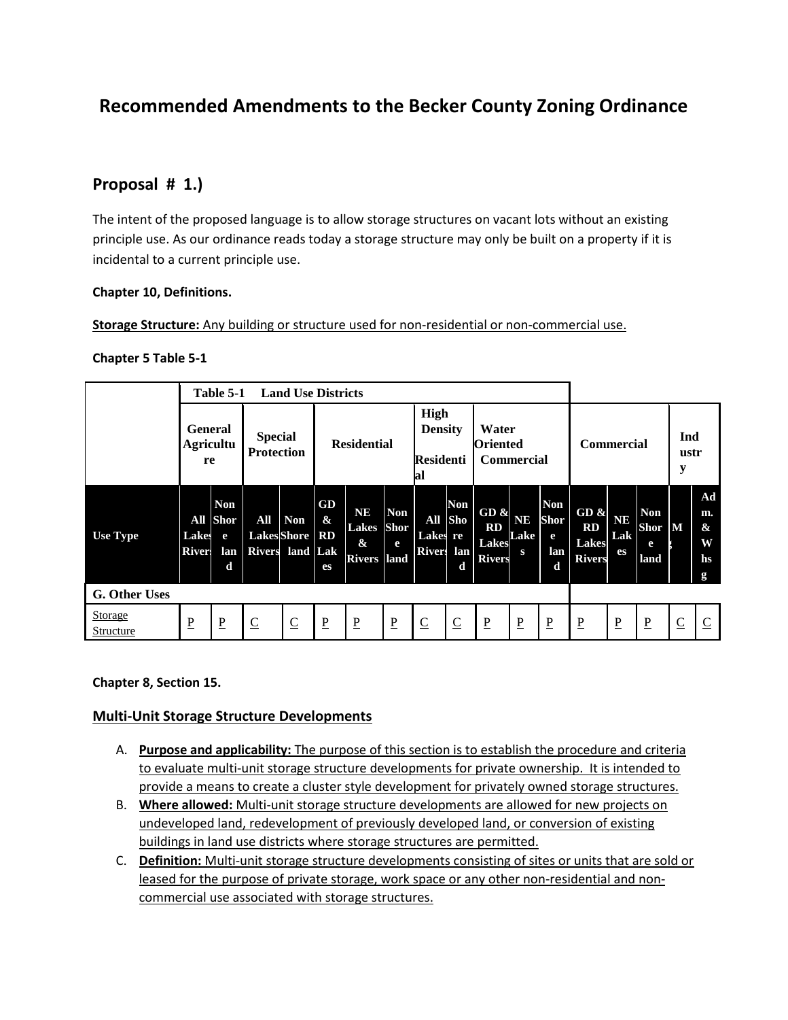# **Recommended Amendments to the Becker County Zoning Ordinance**

## **Proposal # 1.)**

The intent of the proposed language is to allow storage structures on vacant lots without an existing principle use. As our ordinance reads today a storage structure may only be built on a property if it is incidental to a current principle use.

#### **Chapter 10, Definitions.**

#### **Storage Structure:** Any building or structure used for non-residential or non-commercial use.

#### **Chapter 5 Table 5-1**

|                             | <b>Land Use Districts</b><br>Table 5-1 |                                         |                                                |                |                               |                                                      |                                |                                                   |                               |                                                   |                        |                                            |                                                    |                               |                                        |                  |                                |
|-----------------------------|----------------------------------------|-----------------------------------------|------------------------------------------------|----------------|-------------------------------|------------------------------------------------------|--------------------------------|---------------------------------------------------|-------------------------------|---------------------------------------------------|------------------------|--------------------------------------------|----------------------------------------------------|-------------------------------|----------------------------------------|------------------|--------------------------------|
|                             | <b>General</b><br>Agricultu<br>re      |                                         | <b>Special</b><br><b>Protection</b>            |                | <b>Residential</b>            |                                                      |                                | High<br><b>Density</b><br><b>Residenti</b><br>lal |                               | Water<br><b>Oriented</b><br><b>Commercial</b>     |                        |                                            | <b>Commercial</b>                                  |                               |                                        | Ind<br>ustr<br>y |                                |
| Use Type                    | Lakes<br><b>River</b>                  | <b>Non</b><br>All Shor<br>e<br>lan<br>d | All<br><b>LakesShore</b> RD<br>Rivers land Lak | <b>Non</b>     | GD<br>$\boldsymbol{\&}$<br>es | <b>NE</b><br><b>Lakes</b><br>&<br><b>Rivers</b> land | <b>Non</b><br><b>Shor</b><br>e | Lakes re<br>Rivers lan                            | Non<br>All Sho<br>$\mathbf d$ | GD&<br><b>RD</b><br><b>Lakes</b><br><b>Rivers</b> | <b>NE</b><br>Lake<br>S | <b>Non</b><br><b>Shor</b><br>e<br>lan<br>d | GD &<br><b>RD</b><br><b>Lakes</b><br><b>Rivers</b> | <b>NE</b><br>Lak<br><b>es</b> | <b>Non</b><br><b>Shor</b><br>e<br>land | M                | Ad<br>m.<br>&<br>W<br>hs.<br>g |
| <b>G. Other Uses</b>        |                                        |                                         |                                                |                |                               |                                                      |                                |                                                   |                               |                                                   |                        |                                            |                                                    |                               |                                        |                  |                                |
| <b>Storage</b><br>Structure | $\mathbf P$                            | $\mathbf P$                             | $\overline{\mathsf{C}}$                        | $\overline{C}$ | $\underline{\mathbf{P}}$      | $\underline{P}$                                      | $\underline{\mathbf{P}}$       | $\overline{C}$                                    | $\overline{C}$                | $\overline{P}$                                    | $\overline{P}$         | $\mathbf P$                                | $\mathbf{P}$                                       | $\mathbf P$                   | $\underline{P}$                        | $\overline{C}$   | $\overline{C}$                 |

### **Chapter 8, Section 15.**

### **Multi-Unit Storage Structure Developments**

- A. **Purpose and applicability:** The purpose of this section is to establish the procedure and criteria to evaluate multi-unit storage structure developments for private ownership. It is intended to provide a means to create a cluster style development for privately owned storage structures.
- B. **Where allowed:** Multi-unit storage structure developments are allowed for new projects on undeveloped land, redevelopment of previously developed land, or conversion of existing buildings in land use districts where storage structures are permitted.
- C. **Definition:** Multi-unit storage structure developments consisting of sites or units that are sold or leased for the purpose of private storage, work space or any other non-residential and noncommercial use associated with storage structures.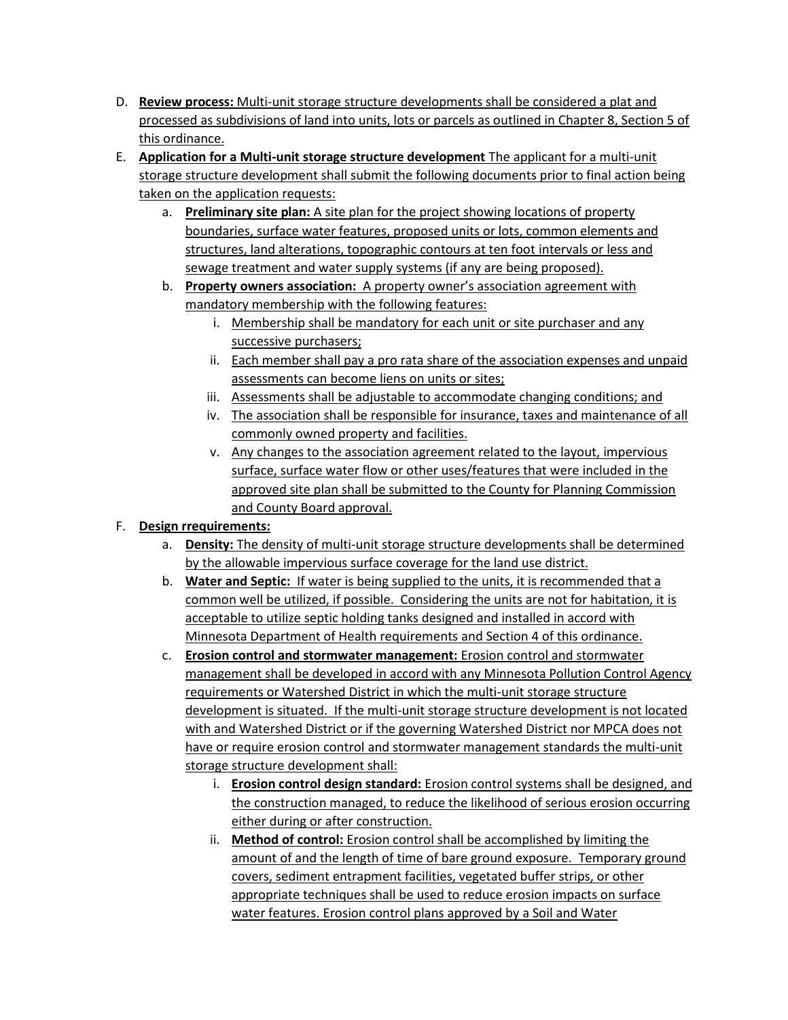- D. **Review process:** Multi-unit storage structure developments shall be considered a plat and processed as subdivisions of land into units, lots or parcels as outlined in Chapter 8, Section 5 of this ordinance.
- E. **Application for a Multi-unit storage structure development** The applicant for a multi-unit storage structure development shall submit the following documents prior to final action being taken on the application requests:
	- a. **Preliminary site plan:** A site plan for the project showing locations of property boundaries, surface water features, proposed units or lots, common elements and structures, land alterations, topographic contours at ten foot intervals or less and sewage treatment and water supply systems (if any are being proposed).
	- b. **Property owners association:** A property owner's association agreement with mandatory membership with the following features:
		- i. Membership shall be mandatory for each unit or site purchaser and any successive purchasers;
		- ii. Each member shall pay a pro rata share of the association expenses and unpaid assessments can become liens on units or sites;
		- iii. Assessments shall be adjustable to accommodate changing conditions; and
		- iv. The association shall be responsible for insurance, taxes and maintenance of all commonly owned property and facilities.
		- v. Any changes to the association agreement related to the layout, impervious surface, surface water flow or other uses/features that were included in the approved site plan shall be submitted to the County for Planning Commission and County Board approval.

## F. **Design rrequirements:**

- a. **Density:** The density of multi-unit storage structure developments shall be determined by the allowable impervious surface coverage for the land use district.
- b. **Water and Septic:** If water is being supplied to the units, it is recommended that a common well be utilized, if possible. Considering the units are not for habitation, it is acceptable to utilize septic holding tanks designed and installed in accord with Minnesota Department of Health requirements and Section 4 of this ordinance.
- c. **Erosion control and stormwater management:** Erosion control and stormwater management shall be developed in accord with any Minnesota Pollution Control Agency requirements or Watershed District in which the multi-unit storage structure development is situated. If the multi-unit storage structure development is not located with and Watershed District or if the governing Watershed District nor MPCA does not have or require erosion control and stormwater management standards the multi-unit storage structure development shall:
	- i. **Erosion control design standard:** Erosion control systems shall be designed, and the construction managed, to reduce the likelihood of serious erosion occurring either during or after construction.
	- ii. **Method of control:** Erosion control shall be accomplished by limiting the amount of and the length of time of bare ground exposure. Temporary ground covers, sediment entrapment facilities, vegetated buffer strips, or other appropriate techniques shall be used to reduce erosion impacts on surface water features. Erosion control plans approved by a Soil and Water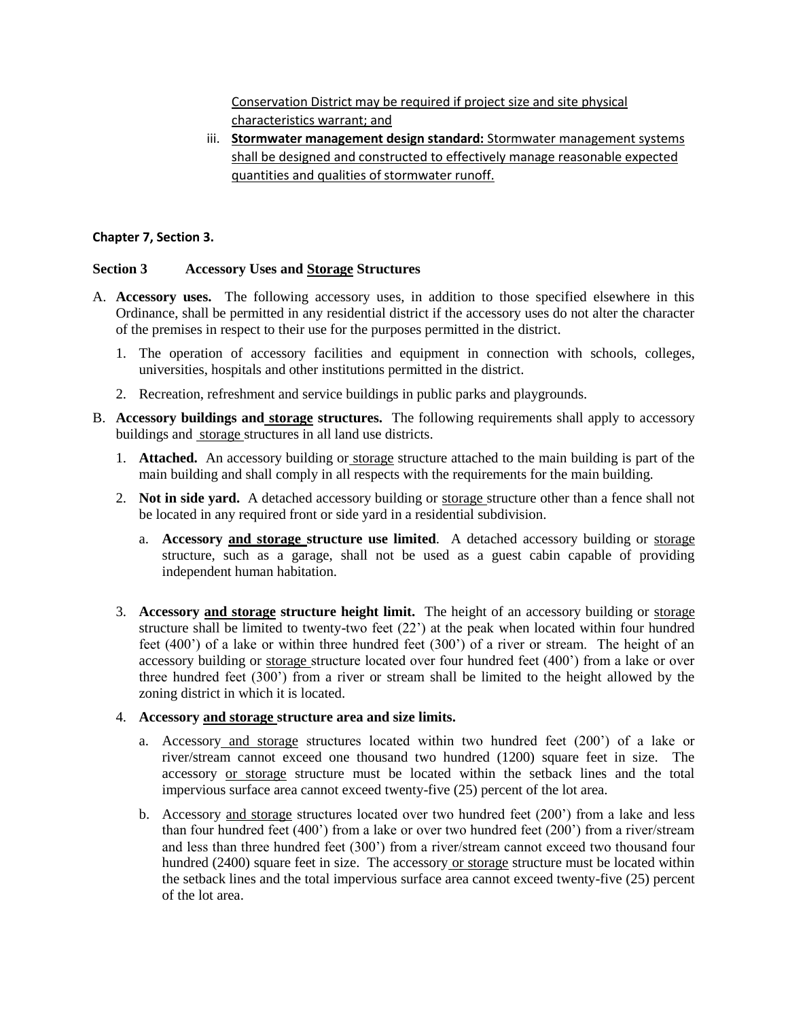Conservation District may be required if project size and site physical characteristics warrant; and

iii. **Stormwater management design standard:** Stormwater management systems shall be designed and constructed to effectively manage reasonable expected quantities and qualities of stormwater runoff.

#### **Chapter 7, Section 3.**

#### **Section 3 Accessory Uses and Storage Structures**

- A. **Accessory uses.** The following accessory uses, in addition to those specified elsewhere in this Ordinance, shall be permitted in any residential district if the accessory uses do not alter the character of the premises in respect to their use for the purposes permitted in the district.
	- 1. The operation of accessory facilities and equipment in connection with schools, colleges, universities, hospitals and other institutions permitted in the district.
	- 2. Recreation, refreshment and service buildings in public parks and playgrounds.
- B. **Accessory buildings and storage structures.** The following requirements shall apply to accessory buildings and storage structures in all land use districts.
	- 1. **Attached.** An accessory building or storage structure attached to the main building is part of the main building and shall comply in all respects with the requirements for the main building.
	- 2. **Not in side yard.** A detached accessory building or storage structure other than a fence shall not be located in any required front or side yard in a residential subdivision.
		- a. **Accessory and storage structure use limited**. A detached accessory building or storage structure, such as a garage, shall not be used as a guest cabin capable of providing independent human habitation.
	- 3. **Accessory and storage structure height limit.** The height of an accessory building or storage structure shall be limited to twenty-two feet (22') at the peak when located within four hundred feet (400') of a lake or within three hundred feet (300') of a river or stream. The height of an accessory building or storage structure located over four hundred feet (400') from a lake or over three hundred feet (300') from a river or stream shall be limited to the height allowed by the zoning district in which it is located.

#### 4. **Accessory and storage structure area and size limits.**

- a. Accessory and storage structures located within two hundred feet (200') of a lake or river/stream cannot exceed one thousand two hundred (1200) square feet in size. The accessory or storage structure must be located within the setback lines and the total impervious surface area cannot exceed twenty-five (25) percent of the lot area.
- b. Accessory and storage structures located over two hundred feet (200') from a lake and less than four hundred feet (400') from a lake or over two hundred feet (200') from a river/stream and less than three hundred feet (300') from a river/stream cannot exceed two thousand four hundred (2400) square feet in size. The accessory or storage structure must be located within the setback lines and the total impervious surface area cannot exceed twenty-five (25) percent of the lot area.